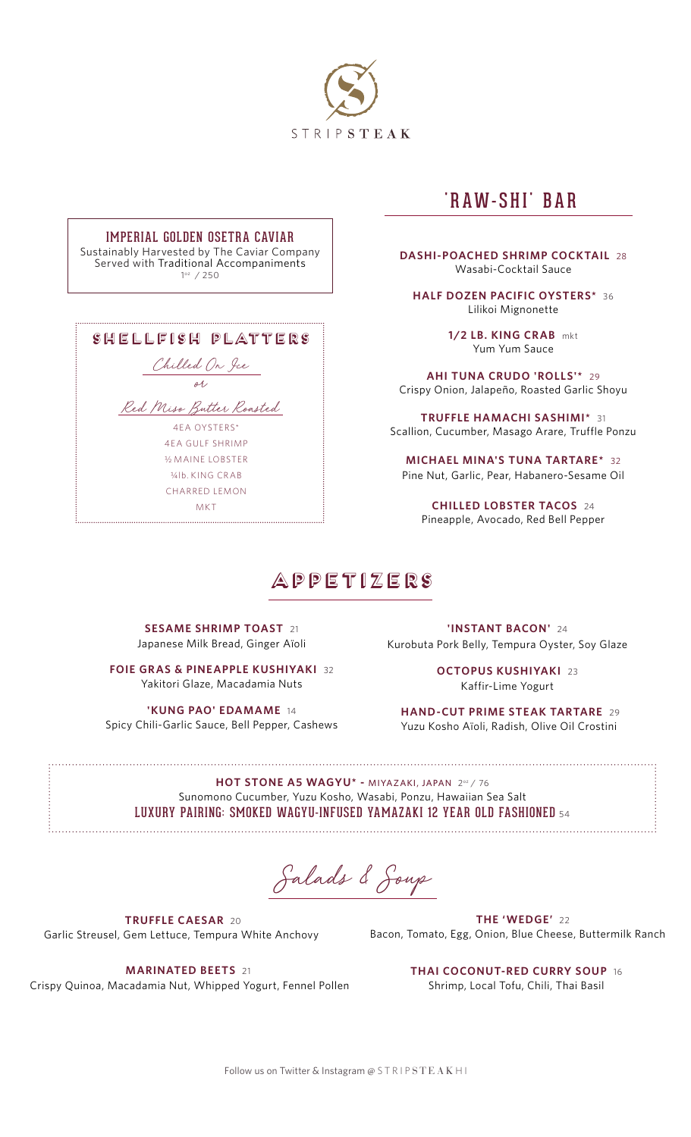

### IMPERIAL GOLDEN OSETRA CAVIAR

Sustainably Harvested by The Caviar Company Served with Traditional Accompaniments 1oz / 250

| SHELLFISH PLATTERS         |
|----------------------------|
| Chilled On Jee             |
| oh,                        |
| Red Miss Butter Roasted    |
| 4FA OYSTERS*               |
| 4FA GULF SHRIMP            |
| <b>36 MAINE LOBSTER</b>    |
| $\frac{1}{4}$ lb KING CRAB |
| CHARRED I FMON             |
| MK T                       |

## 'RAW-SHI' BAR

**DASHI-POACHED SHRIMP COCKTAIL** 28 Wasabi-Cocktail Sauce

**HALF DOZEN PACIFIC OYSTERS\*** 36 Lilikoi Mignonette

> **1/2 LB. KING CRAB** mkt Yum Yum Sauce

**AHI TUNA CRUDO 'ROLLS'\*** 29 Crispy Onion, Jalapeño, Roasted Garlic Shoyu

**TRUFFLE HAMACHI SASHIMI\*** 31 Scallion, Cucumber, Masago Arare, Truffle Ponzu

**MICHAEL MINA'S TUNA TARTARE\*** 32 Pine Nut, Garlic, Pear, Habanero-Sesame Oil

**CHILLED LOBSTER TACOS** 24 Pineapple, Avocado, Red Bell Pepper

### appetizers

**SESAME SHRIMP TOAST** 21 Japanese Milk Bread, Ginger Aïoli

**FOIE GRAS & PINEAPPLE KUSHIYAKI 32** Yakitori Glaze, Macadamia Nuts

**'KUNG PAO' EDAMAME** 14 Spicy Chili-Garlic Sauce, Bell Pepper, Cashews

**'INSTANT BACON'** 24 Kurobuta Pork Belly, Tempura Oyster, Soy Glaze

> **OCTOPUS KUSHIYAKI** 23 Kaffir-Lime Yogurt

 **HAND-CUT PRIME STEAK TARTARE** 29 Yuzu Kosho Aïoli, Radish, Olive Oil Crostini

**HOT STONE A5 WAGYU\* -** MIYAZAKI, JAPAN2oz / 76 Sunomono Cucumber, Yuzu Kosho, Wasabi, Ponzu, Hawaiian Sea Salt LUXURY PAIRING: SMOKED WAGYU-INFUSED YAMAZAKI 12 YEAR OLD FASHIONED <sup>54</sup>

Salads & Soup

 **TRUFFLE CAESAR** 20 Garlic Streusel, Gem Lettuce, Tempura White Anchovy

**THE 'WEDGE'** 22 Bacon, Tomato, Egg, Onion, Blue Cheese, Buttermilk Ranch

**MARINATED BEETS** 21 Crispy Quinoa, Macadamia Nut, Whipped Yogurt, Fennel Pollen

**THAI COCONUT-RED CURRY SOUP** 16 Shrimp, Local Tofu, Chili, Thai Basil

Follow us on Twitter & Instagram  $@$  STRIPSTEAK HI